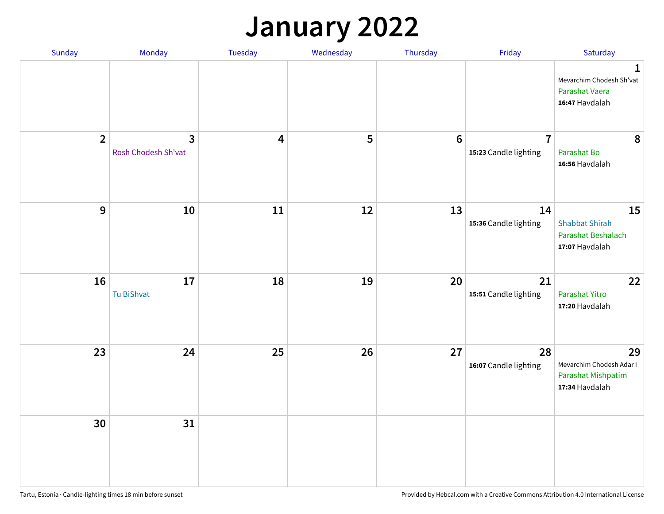## **January 2022**

| Sunday         | Monday                              | Tuesday                 | Wednesday | Thursday         | Friday                                  | Saturday                                                                     |
|----------------|-------------------------------------|-------------------------|-----------|------------------|-----------------------------------------|------------------------------------------------------------------------------|
|                |                                     |                         |           |                  |                                         | $\mathbf{1}$<br>Mevarchim Chodesh Sh'vat<br>Parashat Vaera<br>16:47 Havdalah |
| $\overline{2}$ | $\mathbf{3}$<br>Rosh Chodesh Sh'vat | $\overline{\mathbf{4}}$ | 5         | $\boldsymbol{6}$ | $\overline{7}$<br>15:23 Candle lighting | 8<br>Parashat Bo<br>16:56 Havdalah                                           |
| $\mathbf{9}$   | 10                                  | 11                      | 12        | 13               | 14<br>15:36 Candle lighting             | 15<br><b>Shabbat Shirah</b><br>Parashat Beshalach<br>17:07 Havdalah          |
| 16             | 17<br>Tu BiShvat                    | 18                      | 19        | 20               | 21<br>15:51 Candle lighting             | 22<br>Parashat Yitro<br>17:20 Havdalah                                       |
| 23             | 24                                  | 25                      | 26        | 27               | 28<br>16:07 Candle lighting             | 29<br>Mevarchim Chodesh Adar I<br>Parashat Mishpatim<br>17:34 Havdalah       |
| 30             | 31                                  |                         |           |                  |                                         |                                                                              |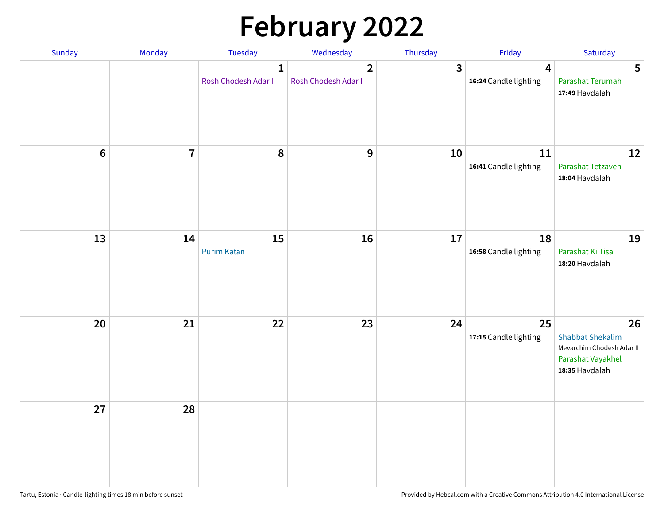# **February 2022**

| Sunday  | <b>Monday</b>  | <b>Tuesday</b>                      | Wednesday                           | Thursday       | Friday                                           | Saturday                                                                                          |
|---------|----------------|-------------------------------------|-------------------------------------|----------------|--------------------------------------------------|---------------------------------------------------------------------------------------------------|
|         |                | $\mathbf{1}$<br>Rosh Chodesh Adar I | $\mathbf{2}$<br>Rosh Chodesh Adar I | $\overline{3}$ | $\overline{\mathbf{4}}$<br>16:24 Candle lighting | 5<br>Parashat Terumah<br>17:49 Havdalah                                                           |
| $\bf 6$ | $\overline{7}$ | 8                                   | 9                                   | 10             | 11<br>16:41 Candle lighting                      | 12<br>Parashat Tetzaveh<br>18:04 Havdalah                                                         |
| 13      | 14             | 15<br><b>Purim Katan</b>            | 16                                  | 17             | 18<br>16:58 Candle lighting                      | 19<br>Parashat Ki Tisa<br>18:20 Havdalah                                                          |
| 20      | 21             | 22                                  | 23                                  | 24             | 25<br>17:15 Candle lighting                      | 26<br><b>Shabbat Shekalim</b><br>Mevarchim Chodesh Adar II<br>Parashat Vayakhel<br>18:35 Havdalah |
| 27      | 28             |                                     |                                     |                |                                                  |                                                                                                   |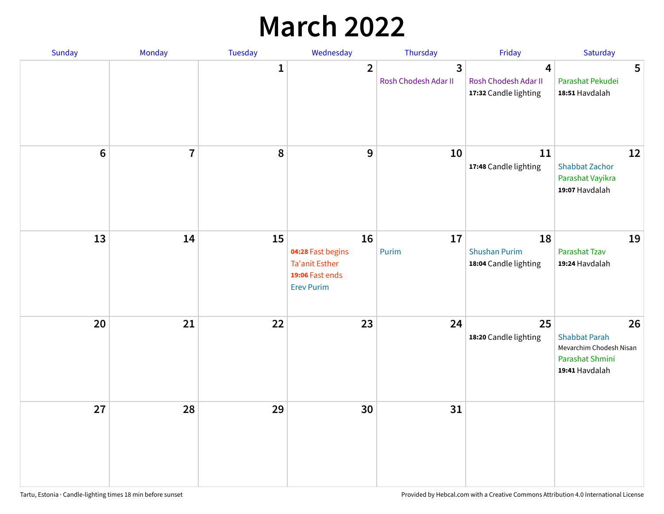## **March 2022**

| Sunday  | <b>Monday</b>           | <b>Tuesday</b> | Wednesday                                                                                | Thursday                  | Friday                                              | Saturday                                                                                   |
|---------|-------------------------|----------------|------------------------------------------------------------------------------------------|---------------------------|-----------------------------------------------------|--------------------------------------------------------------------------------------------|
|         |                         | $\mathbf{1}$   | $\overline{2}$                                                                           | 3<br>Rosh Chodesh Adar II | 4<br>Rosh Chodesh Adar II<br>17:32 Candle lighting  | 5<br>Parashat Pekudei<br>18:51 Havdalah                                                    |
| $\bf 6$ | $\overline{\mathbf{7}}$ | 8              | 9                                                                                        | 10                        | 11<br>17:48 Candle lighting                         | 12<br><b>Shabbat Zachor</b><br>Parashat Vayikra<br>19:07 Havdalah                          |
| 13      | 14                      | 15             | 16<br>04:28 Fast begins<br><b>Ta'anit Esther</b><br>19:06 Fast ends<br><b>Erev Purim</b> | 17<br>Purim               | 18<br><b>Shushan Purim</b><br>18:04 Candle lighting | 19<br>Parashat Tzav<br>19:24 Havdalah                                                      |
| 20      | 21                      | 22             | 23                                                                                       | 24                        | 25<br>18:20 Candle lighting                         | 26<br><b>Shabbat Parah</b><br>Mevarchim Chodesh Nisan<br>Parashat Shmini<br>19:41 Havdalah |
| 27      | 28                      | 29             | 30                                                                                       | 31                        |                                                     |                                                                                            |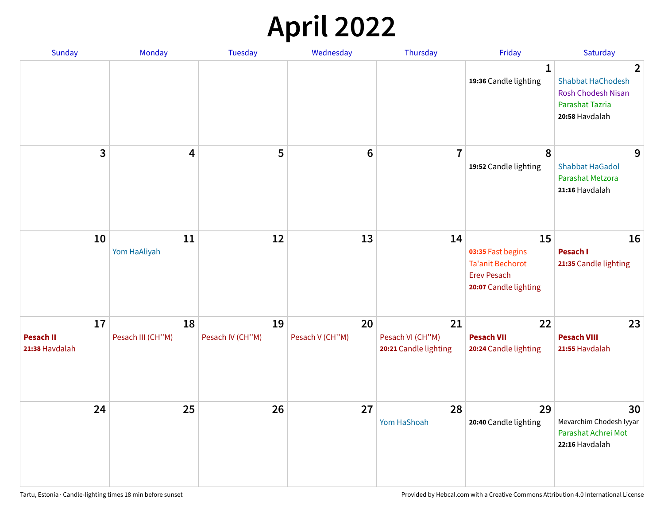## **April 2022**

| Sunday                                   | Monday                  | <b>Tuesday</b>         | Wednesday             | Thursday                                        | Friday                                                                                            | Saturday                                                                                        |
|------------------------------------------|-------------------------|------------------------|-----------------------|-------------------------------------------------|---------------------------------------------------------------------------------------------------|-------------------------------------------------------------------------------------------------|
|                                          |                         |                        |                       |                                                 | $\mathbf{1}$<br>19:36 Candle lighting                                                             | 2<br><b>Shabbat HaChodesh</b><br><b>Rosh Chodesh Nisan</b><br>Parashat Tazria<br>20:58 Havdalah |
| 3                                        | 4                       | 5                      | $6\phantom{1}6$       | $\overline{7}$                                  | 8<br>19:52 Candle lighting                                                                        | 9<br><b>Shabbat HaGadol</b><br>Parashat Metzora<br>21:16 Havdalah                               |
| 10                                       | 11<br>Yom HaAliyah      | 12                     | 13                    | 14                                              | 15<br>03:35 Fast begins<br><b>Ta'anit Bechorot</b><br><b>Erev Pesach</b><br>20:07 Candle lighting | 16<br><b>Pesach I</b><br>21:35 Candle lighting                                                  |
| 17<br><b>Pesach II</b><br>21:38 Havdalah | 18<br>Pesach III (CH"M) | 19<br>Pesach IV (CH"M) | 20<br>Pesach V (CH"M) | 21<br>Pesach VI (CH"M)<br>20:21 Candle lighting | 22<br><b>Pesach VII</b><br>20:24 Candle lighting                                                  | 23<br><b>Pesach VIII</b><br>21:55 Havdalah                                                      |
| 24                                       | 25                      | 26                     | 27                    | 28<br>Yom HaShoah                               | 29<br>20:40 Candle lighting                                                                       | 30<br>Mevarchim Chodesh Iyyar<br>Parashat Achrei Mot<br>22:16 Havdalah                          |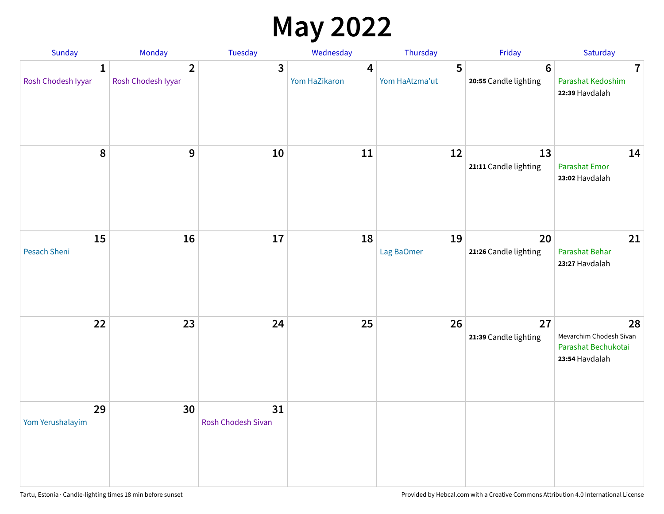## **May 2022**

| Sunday                  | Monday                               | Tuesday                         | Wednesday          | Thursday            | Friday                                  | Saturday                                                               |
|-------------------------|--------------------------------------|---------------------------------|--------------------|---------------------|-----------------------------------------|------------------------------------------------------------------------|
| 1<br>Rosh Chodesh Iyyar | $\overline{2}$<br>Rosh Chodesh Iyyar | 3                               | 4<br>Yom HaZikaron | 5<br>Yom HaAtzma'ut | $6\phantom{1}$<br>20:55 Candle lighting | $\overline{7}$<br>Parashat Kedoshim<br>22:39 Havdalah                  |
| $\pmb{8}$               | $9$                                  | $10\,$                          | 11                 | 12                  | 13<br>21:11 Candle lighting             | 14<br><b>Parashat Emor</b><br>23:02 Havdalah                           |
| 15<br>Pesach Sheni      | 16                                   | 17                              | 18                 | 19<br>Lag BaOmer    | 20<br>21:26 Candle lighting             | 21<br>Parashat Behar<br>23:27 Havdalah                                 |
| 22                      | 23                                   | 24                              | 25                 | 26                  | 27<br>21:39 Candle lighting             | 28<br>Mevarchim Chodesh Sivan<br>Parashat Bechukotai<br>23:54 Havdalah |
| 29<br>Yom Yerushalayim  | 30                                   | 31<br><b>Rosh Chodesh Sivan</b> |                    |                     |                                         |                                                                        |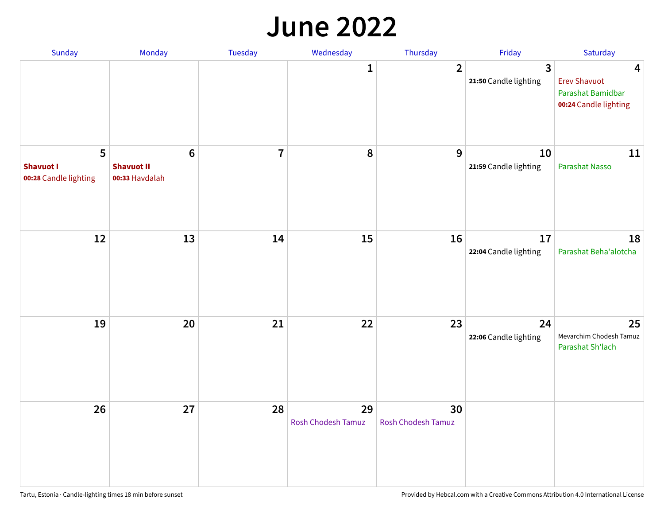#### **June 2022**

| Sunday                                         | Monday                                                | Tuesday        | Wednesday                | Thursday                        | Friday                      | Saturday                                                               |
|------------------------------------------------|-------------------------------------------------------|----------------|--------------------------|---------------------------------|-----------------------------|------------------------------------------------------------------------|
|                                                |                                                       |                | 1                        | $\overline{2}$                  | 3<br>21:50 Candle lighting  | 4<br><b>Erev Shavuot</b><br>Parashat Bamidbar<br>00:24 Candle lighting |
| 5<br><b>Shavuot I</b><br>00:28 Candle lighting | $6\phantom{1}$<br><b>Shavuot II</b><br>00:33 Havdalah | $\overline{7}$ | 8                        | 9                               | 10<br>21:59 Candle lighting | 11<br>Parashat Nasso                                                   |
| 12                                             | 13                                                    | 14             | 15                       | 16                              | 17<br>22:04 Candle lighting | 18<br>Parashat Beha'alotcha                                            |
| 19                                             | 20                                                    | 21             | 22                       | 23                              | 24<br>22:06 Candle lighting | 25<br>Mevarchim Chodesh Tamuz<br>Parashat Sh'lach                      |
| 26                                             | 27                                                    | 28             | 29<br>Rosh Chodesh Tamuz | 30<br><b>Rosh Chodesh Tamuz</b> |                             |                                                                        |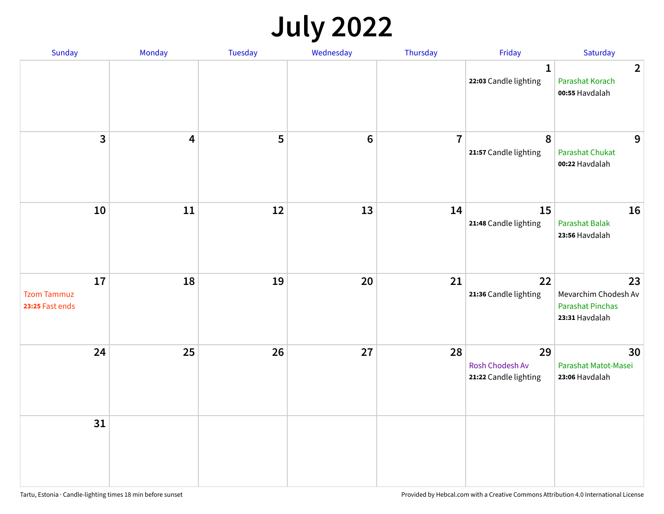## **July 2022**

| Sunday                                      | Monday     | Tuesday | Wednesday      | Thursday       | Friday                                         | Saturday                                                                |
|---------------------------------------------|------------|---------|----------------|----------------|------------------------------------------------|-------------------------------------------------------------------------|
|                                             |            |         |                |                | $\mathbf{1}$<br>22:03 Candle lighting          | $\overline{2}$<br>Parashat Korach<br>00:55 Havdalah                     |
| $\mathbf{3}$                                | 4          | 5       | $6\phantom{1}$ | $\overline{7}$ | 8<br>21:57 Candle lighting                     | 9<br><b>Parashat Chukat</b><br>00:22 Havdalah                           |
| 10                                          | ${\bf 11}$ | 12      | 13             | 14             | 15<br>21:48 Candle lighting                    | 16<br><b>Parashat Balak</b><br>23:56 Havdalah                           |
| 17<br><b>Tzom Tammuz</b><br>23:25 Fast ends | 18         | 19      | 20             | 21             | 22<br>21:36 Candle lighting                    | 23<br>Mevarchim Chodesh Av<br><b>Parashat Pinchas</b><br>23:31 Havdalah |
| 24                                          | 25         | 26      | 27             | 28             | 29<br>Rosh Chodesh Av<br>21:22 Candle lighting | 30<br>Parashat Matot-Masei<br>23:06 Havdalah                            |
| 31                                          |            |         |                |                |                                                |                                                                         |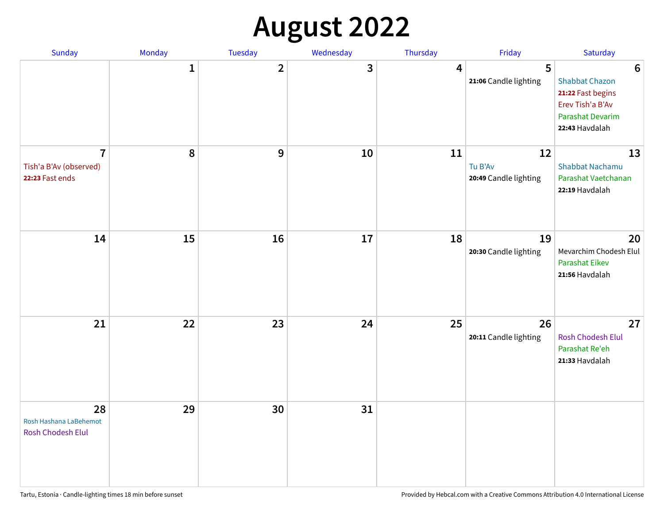# **August 2022**

| Sunday                                                      | Monday       | Tuesday                 | Wednesday | Thursday | Friday                                 | Saturday                                                                                                                       |
|-------------------------------------------------------------|--------------|-------------------------|-----------|----------|----------------------------------------|--------------------------------------------------------------------------------------------------------------------------------|
|                                                             | $\mathbf{1}$ | $\overline{\mathbf{2}}$ | 3         | 4        | 5<br>21:06 Candle lighting             | $6\phantom{1}6$<br><b>Shabbat Chazon</b><br>21:22 Fast begins<br>Erev Tish'a B'Av<br><b>Parashat Devarim</b><br>22:43 Havdalah |
| $\overline{7}$<br>Tish'a B'Av (observed)<br>22:23 Fast ends | 8            | 9                       | 10        | 11       | 12<br>Tu B'Av<br>20:49 Candle lighting | 13<br><b>Shabbat Nachamu</b><br>Parashat Vaetchanan<br>22:19 Havdalah                                                          |
| 14                                                          | 15           | 16                      | 17        | 18       | 19<br>20:30 Candle lighting            | 20<br>Mevarchim Chodesh Elul<br><b>Parashat Eikev</b><br>21:56 Havdalah                                                        |
| 21                                                          | 22           | 23                      | 24        | 25       | 26<br>20:11 Candle lighting            | 27<br><b>Rosh Chodesh Elul</b><br>Parashat Re'eh<br>21:33 Havdalah                                                             |
| 28<br>Rosh Hashana LaBehemot<br>Rosh Chodesh Elul           | 29           | 30                      | 31        |          |                                        |                                                                                                                                |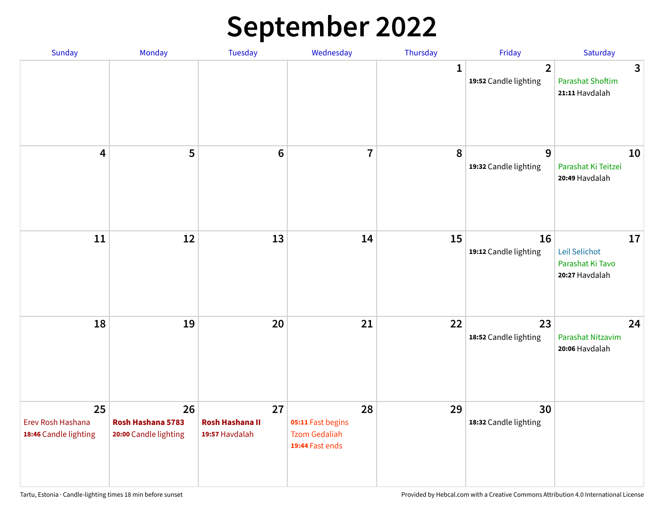## **September 2022**

| Sunday                                           | Monday                                           | <b>Tuesday</b>                                 | Wednesday                                                          | Thursday    | Friday                                  | Saturday                                                  |
|--------------------------------------------------|--------------------------------------------------|------------------------------------------------|--------------------------------------------------------------------|-------------|-----------------------------------------|-----------------------------------------------------------|
|                                                  |                                                  |                                                |                                                                    | $\mathbf 1$ | $\overline{2}$<br>19:52 Candle lighting | 3<br><b>Parashat Shoftim</b><br>21:11 Havdalah            |
| $\overline{\mathbf{4}}$                          | 5                                                | $6\phantom{1}6$                                | $\overline{7}$                                                     | 8           | 9<br>19:32 Candle lighting              | 10<br>Parashat Ki Teitzei<br>20:49 Havdalah               |
| 11                                               | 12                                               | 13                                             | 14                                                                 | 15          | 16<br>19:12 Candle lighting             | 17<br>Leil Selichot<br>Parashat Ki Tavo<br>20:27 Havdalah |
| 18                                               | 19                                               | 20                                             | 21                                                                 | 22          | 23<br>18:52 Candle lighting             | 24<br>Parashat Nitzavim<br>20:06 Havdalah                 |
| 25<br>Erev Rosh Hashana<br>18:46 Candle lighting | 26<br>Rosh Hashana 5783<br>20:00 Candle lighting | 27<br><b>Rosh Hashana II</b><br>19:57 Havdalah | 28<br>05:11 Fast begins<br><b>Tzom Gedaliah</b><br>19:44 Fast ends | 29          | 30<br>18:32 Candle lighting             |                                                           |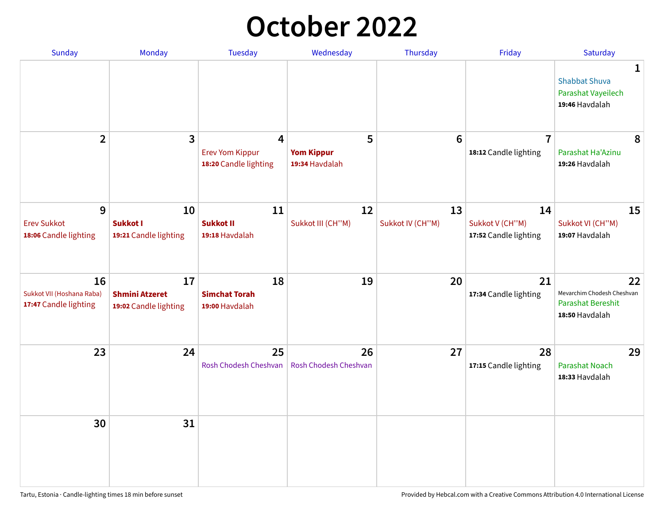## **October 2022**

| <b>Sunday</b>                                            | <b>Monday</b>                                        | <b>Tuesday</b>                                                    | Wednesday                                | Thursday               | Friday                                         | Saturday                                                                |
|----------------------------------------------------------|------------------------------------------------------|-------------------------------------------------------------------|------------------------------------------|------------------------|------------------------------------------------|-------------------------------------------------------------------------|
|                                                          |                                                      |                                                                   |                                          |                        |                                                | 1<br><b>Shabbat Shuva</b><br>Parashat Vayeilech<br>19:46 Havdalah       |
| $\overline{2}$                                           | $\overline{\mathbf{3}}$                              | $\overline{4}$<br><b>Erev Yom Kippur</b><br>18:20 Candle lighting | 5<br><b>Yom Kippur</b><br>19:34 Havdalah | 6                      | $\overline{7}$<br>18:12 Candle lighting        | 8<br>Parashat Ha'Azinu<br>19:26 Havdalah                                |
| 9<br><b>Erev Sukkot</b><br>18:06 Candle lighting         | 10<br><b>Sukkot I</b><br>19:21 Candle lighting       | 11<br><b>Sukkot II</b><br>19:18 Havdalah                          | 12<br>Sukkot III (CH"M)                  | 13<br>Sukkot IV (CH"M) | 14<br>Sukkot V (CH"M)<br>17:52 Candle lighting | 15<br>Sukkot VI (CH"M)<br>19:07 Havdalah                                |
| 16<br>Sukkot VII (Hoshana Raba)<br>17:47 Candle lighting | 17<br><b>Shmini Atzeret</b><br>19:02 Candle lighting | 18<br><b>Simchat Torah</b><br>19:00 Havdalah                      | 19                                       | 20                     | 21<br>17:34 Candle lighting                    | 22<br>Mevarchim Chodesh Cheshvan<br>Parashat Bereshit<br>18:50 Havdalah |
| 23                                                       | 24                                                   | 25<br>Rosh Chodesh Cheshvan                                       | 26<br>Rosh Chodesh Cheshvan              | 27                     | 28<br>17:15 Candle lighting                    | 29<br><b>Parashat Noach</b><br>18:33 Havdalah                           |
| 30                                                       | 31                                                   |                                                                   |                                          |                        |                                                |                                                                         |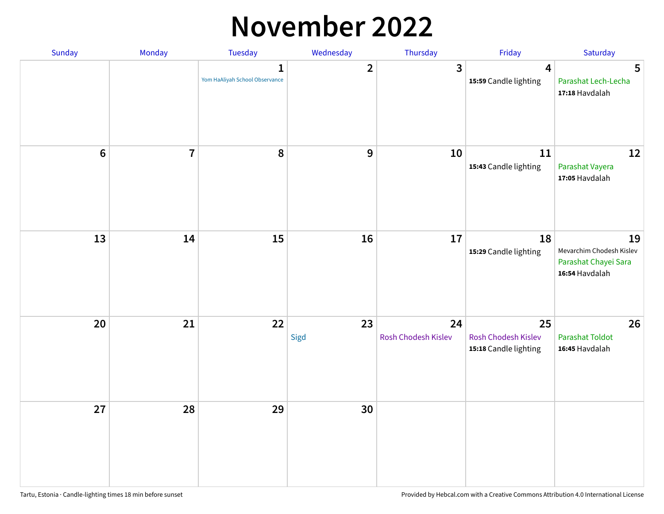#### **November 2022**

| Sunday  | Monday         | Tuesday                             | Wednesday    | Thursday                  | Friday                                             | Saturday                                                                 |
|---------|----------------|-------------------------------------|--------------|---------------------------|----------------------------------------------------|--------------------------------------------------------------------------|
|         |                | 1<br>Yom HaAliyah School Observance | $\mathbf{2}$ | 3                         | $\overline{\mathbf{4}}$<br>15:59 Candle lighting   | $5\phantom{1}$<br>Parashat Lech-Lecha<br>17:18 Havdalah                  |
| $\bf 6$ | $\overline{7}$ | 8                                   | $\mathbf 9$  | 10                        | 11<br>15:43 Candle lighting                        | 12<br>Parashat Vayera<br>17:05 Havdalah                                  |
| 13      | 14             | 15                                  | 16           | $17\,$                    | 18<br>15:29 Candle lighting                        | 19<br>Mevarchim Chodesh Kislev<br>Parashat Chayei Sara<br>16:54 Havdalah |
| 20      | 21             | 22                                  | 23<br>Sigd   | 24<br>Rosh Chodesh Kislev | 25<br>Rosh Chodesh Kislev<br>15:18 Candle lighting | 26<br><b>Parashat Toldot</b><br>16:45 Havdalah                           |
| 27      | 28             | 29                                  | 30           |                           |                                                    |                                                                          |